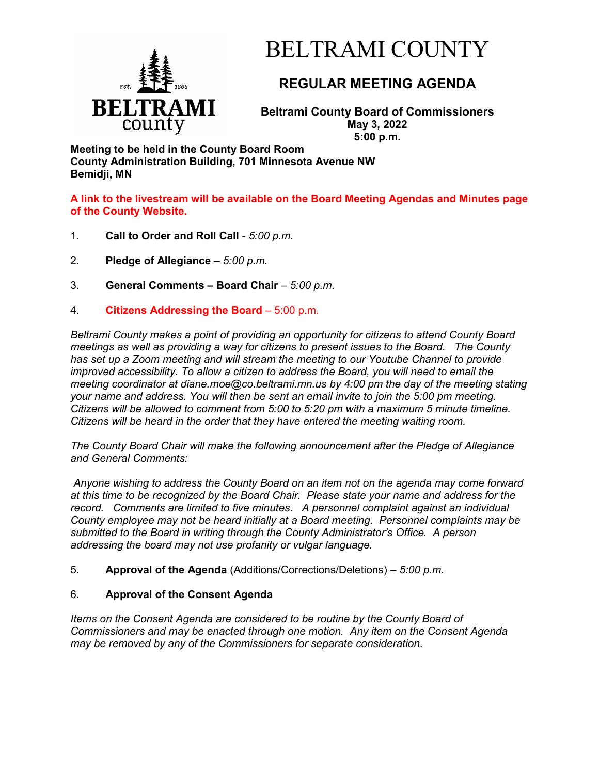

# BELTRAMI COUNTY

## **REGULAR MEETING AGENDA**

**Beltrami County Board of Commissioners May 3, 2022 5:00 p.m.**

**Meeting to be held in the County Board Room County Administration Building, 701 Minnesota Avenue NW Bemidji, MN**

**A link to the livestream will be available on the Board Meeting Agendas and Minutes page of the County Website.**

- 1. **Call to Order and Roll Call** *5:00 p.m.*
- 2. **Pledge of Allegiance**  *5:00 p.m.*
- 3. **General Comments – Board Chair** *5:00 p.m.*
- 4. **Citizens Addressing the Board**  5:00 p.m.

*Beltrami County makes a point of providing an opportunity for citizens to attend County Board meetings as well as providing a way for citizens to present issues to the Board. The County has set up a Zoom meeting and will stream the meeting to our Youtube Channel to provide improved accessibility. To allow a citizen to address the Board, you will need to email the meeting coordinator at diane.moe@co.beltrami.mn.us by 4:00 pm the day of the meeting stating your name and address. You will then be sent an email invite to join the 5:00 pm meeting. Citizens will be allowed to comment from 5:00 to 5:20 pm with a maximum 5 minute timeline. Citizens will be heard in the order that they have entered the meeting waiting room.* 

*The County Board Chair will make the following announcement after the Pledge of Allegiance and General Comments:*

*Anyone wishing to address the County Board on an item not on the agenda may come forward at this time to be recognized by the Board Chair. Please state your name and address for the record. Comments are limited to five minutes. A personnel complaint against an individual County employee may not be heard initially at a Board meeting. Personnel complaints may be submitted to the Board in writing through the County Administrator's Office. A person addressing the board may not use profanity or vulgar language.*

5. **Approval of the Agenda** (Additions/Corrections/Deletions) – *5:00 p.m.*

### 6. **Approval of the Consent Agenda**

*Items on the Consent Agenda are considered to be routine by the County Board of Commissioners and may be enacted through one motion. Any item on the Consent Agenda may be removed by any of the Commissioners for separate consideration*.